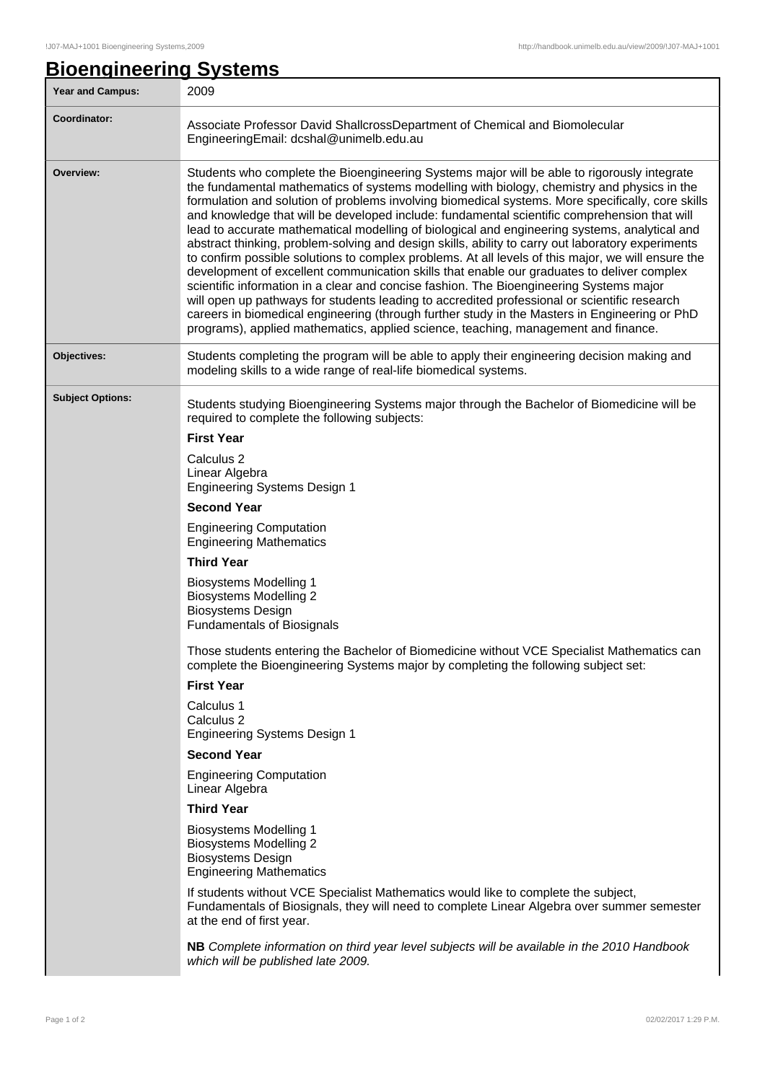## **Bioengineering Systems**

| Year and Campus:        | 2009                                                                                                                                                                                                                                                                                                                                                                                                                                                                                                                                                                                                                                                                                                                                                                                                                                                                                                                                                                                                                                                                                                                                                                                                                                                                                                                                                                 |  |  |
|-------------------------|----------------------------------------------------------------------------------------------------------------------------------------------------------------------------------------------------------------------------------------------------------------------------------------------------------------------------------------------------------------------------------------------------------------------------------------------------------------------------------------------------------------------------------------------------------------------------------------------------------------------------------------------------------------------------------------------------------------------------------------------------------------------------------------------------------------------------------------------------------------------------------------------------------------------------------------------------------------------------------------------------------------------------------------------------------------------------------------------------------------------------------------------------------------------------------------------------------------------------------------------------------------------------------------------------------------------------------------------------------------------|--|--|
| <b>Coordinator:</b>     | Associate Professor David ShallcrossDepartment of Chemical and Biomolecular<br>EngineeringEmail: dcshal@unimelb.edu.au                                                                                                                                                                                                                                                                                                                                                                                                                                                                                                                                                                                                                                                                                                                                                                                                                                                                                                                                                                                                                                                                                                                                                                                                                                               |  |  |
| Overview:               | Students who complete the Bioengineering Systems major will be able to rigorously integrate<br>the fundamental mathematics of systems modelling with biology, chemistry and physics in the<br>formulation and solution of problems involving biomedical systems. More specifically, core skills<br>and knowledge that will be developed include: fundamental scientific comprehension that will<br>lead to accurate mathematical modelling of biological and engineering systems, analytical and<br>abstract thinking, problem-solving and design skills, ability to carry out laboratory experiments<br>to confirm possible solutions to complex problems. At all levels of this major, we will ensure the<br>development of excellent communication skills that enable our graduates to deliver complex<br>scientific information in a clear and concise fashion. The Bioengineering Systems major<br>will open up pathways for students leading to accredited professional or scientific research<br>careers in biomedical engineering (through further study in the Masters in Engineering or PhD<br>programs), applied mathematics, applied science, teaching, management and finance.                                                                                                                                                                          |  |  |
| Objectives:             | Students completing the program will be able to apply their engineering decision making and<br>modeling skills to a wide range of real-life biomedical systems.                                                                                                                                                                                                                                                                                                                                                                                                                                                                                                                                                                                                                                                                                                                                                                                                                                                                                                                                                                                                                                                                                                                                                                                                      |  |  |
| <b>Subject Options:</b> | Students studying Bioengineering Systems major through the Bachelor of Biomedicine will be<br>required to complete the following subjects:<br><b>First Year</b><br>Calculus <sub>2</sub><br>Linear Algebra<br><b>Engineering Systems Design 1</b><br><b>Second Year</b><br><b>Engineering Computation</b><br><b>Engineering Mathematics</b><br><b>Third Year</b><br><b>Biosystems Modelling 1</b><br><b>Biosystems Modelling 2</b><br><b>Biosystems Design</b><br><b>Fundamentals of Biosignals</b><br>Those students entering the Bachelor of Biomedicine without VCE Specialist Mathematics can<br>complete the Bioengineering Systems major by completing the following subject set:<br><b>First Year</b><br>Calculus 1<br>Calculus 2<br><b>Engineering Systems Design 1</b><br><b>Second Year</b><br><b>Engineering Computation</b><br>Linear Algebra<br><b>Third Year</b><br><b>Biosystems Modelling 1</b><br><b>Biosystems Modelling 2</b><br><b>Biosystems Design</b><br><b>Engineering Mathematics</b><br>If students without VCE Specialist Mathematics would like to complete the subject,<br>Fundamentals of Biosignals, they will need to complete Linear Algebra over summer semester<br>at the end of first year.<br>NB Complete information on third year level subjects will be available in the 2010 Handbook<br>which will be published late 2009. |  |  |